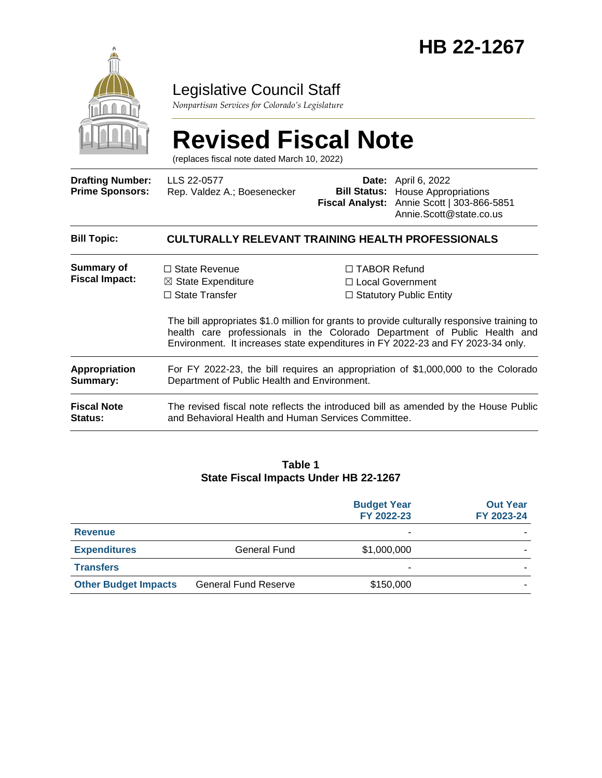

# Legislative Council Staff

*Nonpartisan Services for Colorado's Legislature*

# **Revised Fiscal Note**

(replaces fiscal note dated March 10, 2022)

| <b>Drafting Number:</b><br><b>Prime Sponsors:</b> | LLS 22-0577<br>Rep. Valdez A.; Boesenecker                                                                                                                                                                           |                     | <b>Date:</b> April 6, 2022<br><b>Bill Status:</b> House Appropriations<br>Fiscal Analyst: Annie Scott   303-866-5851<br>Annie.Scott@state.co.us                                                                                  |  |  |  |
|---------------------------------------------------|----------------------------------------------------------------------------------------------------------------------------------------------------------------------------------------------------------------------|---------------------|----------------------------------------------------------------------------------------------------------------------------------------------------------------------------------------------------------------------------------|--|--|--|
| <b>Bill Topic:</b>                                | <b>CULTURALLY RELEVANT TRAINING HEALTH PROFESSIONALS</b>                                                                                                                                                             |                     |                                                                                                                                                                                                                                  |  |  |  |
| Summary of<br><b>Fiscal Impact:</b>               | $\Box$ State Revenue<br>$\boxtimes$ State Expenditure<br>$\Box$ State Transfer                                                                                                                                       | $\Box$ TABOR Refund | □ Local Government<br>$\Box$ Statutory Public Entity<br>The bill appropriates \$1.0 million for grants to provide culturally responsive training to<br>health care professionals in the Colorado Department of Public Health and |  |  |  |
| Appropriation<br>Summary:                         | Environment. It increases state expenditures in FY 2022-23 and FY 2023-34 only.<br>For FY 2022-23, the bill requires an appropriation of \$1,000,000 to the Colorado<br>Department of Public Health and Environment. |                     |                                                                                                                                                                                                                                  |  |  |  |
| <b>Fiscal Note</b><br><b>Status:</b>              | The revised fiscal note reflects the introduced bill as amended by the House Public<br>and Behavioral Health and Human Services Committee.                                                                           |                     |                                                                                                                                                                                                                                  |  |  |  |

#### **Table 1 State Fiscal Impacts Under HB 22-1267**

|                             |                             | <b>Budget Year</b><br>FY 2022-23 | <b>Out Year</b><br>FY 2023-24 |
|-----------------------------|-----------------------------|----------------------------------|-------------------------------|
| <b>Revenue</b>              |                             | ۰                                |                               |
| <b>Expenditures</b>         | <b>General Fund</b>         | \$1,000,000                      |                               |
| <b>Transfers</b>            |                             |                                  |                               |
| <b>Other Budget Impacts</b> | <b>General Fund Reserve</b> | \$150,000                        |                               |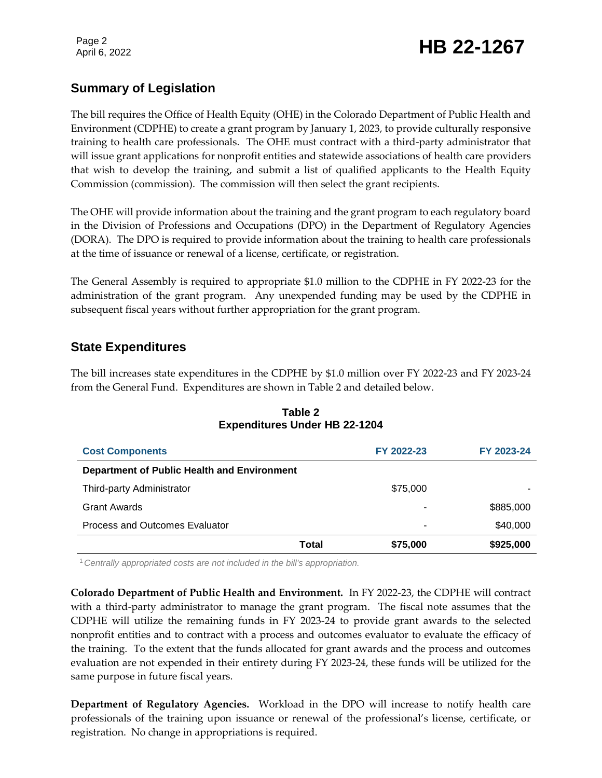Page 2

# Page 2<br>April 6, 2022 **HB 22-1267**

# **Summary of Legislation**

The bill requires the Office of Health Equity (OHE) in the Colorado Department of Public Health and Environment (CDPHE) to create a grant program by January 1, 2023, to provide culturally responsive training to health care professionals. The OHE must contract with a third-party administrator that will issue grant applications for nonprofit entities and statewide associations of health care providers that wish to develop the training, and submit a list of qualified applicants to the Health Equity Commission (commission). The commission will then select the grant recipients.

The OHE will provide information about the training and the grant program to each regulatory board in the Division of Professions and Occupations (DPO) in the Department of Regulatory Agencies (DORA). The DPO is required to provide information about the training to health care professionals at the time of issuance or renewal of a license, certificate, or registration.

The General Assembly is required to appropriate \$1.0 million to the CDPHE in FY 2022-23 for the administration of the grant program. Any unexpended funding may be used by the CDPHE in subsequent fiscal years without further appropriation for the grant program.

# **State Expenditures**

The bill increases state expenditures in the CDPHE by \$1.0 million over FY 2022-23 and FY 2023-24 from the General Fund. Expenditures are shown in Table 2 and detailed below.

| <b>Cost Components</b>                             |       | FY 2022-23 | FY 2023-24 |
|----------------------------------------------------|-------|------------|------------|
| <b>Department of Public Health and Environment</b> |       |            |            |
| Third-party Administrator                          |       | \$75,000   |            |
| <b>Grant Awards</b>                                |       |            | \$885,000  |
| Process and Outcomes Evaluator                     |       | ۰          | \$40,000   |
|                                                    | Total | \$75,000   | \$925,000  |

#### **Table 2 Expenditures Under HB 22-1204**

<sup>1</sup>*Centrally appropriated costs are not included in the bill's appropriation.*

**Colorado Department of Public Health and Environment.** In FY 2022-23, the CDPHE will contract with a third-party administrator to manage the grant program. The fiscal note assumes that the CDPHE will utilize the remaining funds in FY 2023-24 to provide grant awards to the selected nonprofit entities and to contract with a process and outcomes evaluator to evaluate the efficacy of the training. To the extent that the funds allocated for grant awards and the process and outcomes evaluation are not expended in their entirety during FY 2023-24, these funds will be utilized for the same purpose in future fiscal years.

**Department of Regulatory Agencies.** Workload in the DPO will increase to notify health care professionals of the training upon issuance or renewal of the professional's license, certificate, or registration. No change in appropriations is required.